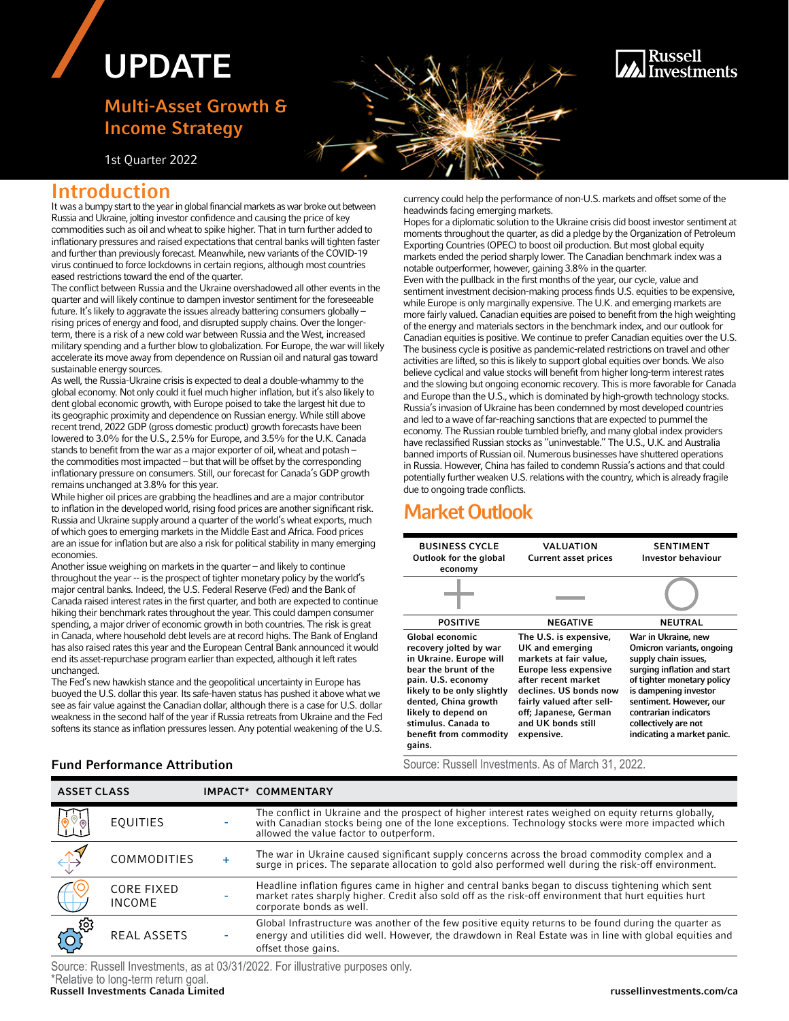# UPDATE

## Multi-Asset Growth & Income Strategy

1st Quarter 2022

### Introduction

It was a bumpy start to the year in global financial markets as war broke out between Russia and Ukraine, jolting investor confidence and causing the price of key commodities such as oil and wheat to spike higher. That in turn further added to inflationary pressures and raised expectations that central banks will tighten faster and further than previously forecast. Meanwhile, new variants of the COVID-19 virus continued to force lockdowns in certain regions, although most countries eased restrictions toward the end of the quarter.

The conflict between Russia and the Ukraine overshadowed all other events in the quarter and will likely continue to dampen investor sentiment for the foreseeable future. It's likely to aggravate the issues already battering consumers globally – rising prices of energy and food, and disrupted supply chains. Over the longerterm, there is a risk of a new cold war between Russia and the West, increased military spending and a further blow to globalization. For Europe, the war will likely accelerate its move away from dependence on Russian oil and natural gas toward sustainable energy sources.

As well, the Russia-Ukraine crisis is expected to deal a double-whammy to the global economy. Not only could it fuel much higher inflation, but it's also likely to dent global economic growth, with Europe poised to take the largest hit due to its geographic proximity and dependence on Russian energy. While still above recent trend, 2022 GDP (gross domestic product) growth forecasts have been lowered to 3.0% for the U.S., 2.5% for Europe, and 3.5% for the U.K. Canada stands to benefit from the war as a major exporter of oil, wheat and potash – the commodities most impacted – but that will be offset by the corresponding inflationary pressure on consumers. Still, our forecast for Canada's GDP growth remains unchanged at 3.8% for this year.

While higher oil prices are grabbing the headlines and are a major contributor to inflation in the developed world, rising food prices are another significant risk. Russia and Ukraine supply around a quarter of the world's wheat exports, much of which goes to emerging markets in the Middle East and Africa. Food prices are an issue for inflation but are also a risk for political stability in many emerging economies.

Another issue weighing on markets in the quarter – and likely to continue throughout the year -- is the prospect of tighter monetary policy by the world's major central banks. Indeed, the U.S. Federal Reserve (Fed) and the Bank of Canada raised interest rates in the first quarter, and both are expected to continue hiking their benchmark rates throughout the year. This could dampen consumer spending, a major driver of economic growth in both countries. The risk is great in Canada, where household debt levels are at record highs. The Bank of England has also raised rates this year and the European Central Bank announced it would end its asset-repurchase program earlier than expected, although it left rates unchanged.

The Fed's new hawkish stance and the geopolitical uncertainty in Europe has buoyed the U.S. dollar this year. Its safe-haven status has pushed it above what we see as fair value against the Canadian dollar, although there is a case for U.S. dollar weakness in the second half of the year if Russia retreats from Ukraine and the Fed softens its stance as inflation pressures lessen. Any potential weakening of the U.S. currency could help the performance of non-U.S. markets and offset some of the headwinds facing emerging markets.

Hopes for a diplomatic solution to the Ukraine crisis did boost investor sentiment at moments throughout the quarter, as did a pledge by the Organization of Petroleum Exporting Countries (OPEC) to boost oil production. But most global equity markets ended the period sharply lower. The Canadian benchmark index was a notable outperformer, however, gaining 3.8% in the quarter. Even with the pullback in the first months of the year, our cycle, value and sentiment investment decision-making process finds U.S. equities to be expensive, while Europe is only marginally expensive. The U.K. and emerging markets are more fairly valued. Canadian equities are poised to benefit from the high weighting of the energy and materials sectors in the benchmark index, and our outlook for Canadian equities is positive. We continue to prefer Canadian equities over the U.S. The business cycle is positive as pandemic-related restrictions on travel and other activities are lifted, so this is likely to support global equities over bonds. We also believe cyclical and value stocks will benefit from higher long-term interest rates and the slowing but ongoing economic recovery. This is more favorable for Canada and Europe than the U.S., which is dominated by high-growth technology stocks. Russia's invasion of Ukraine has been condemned by most developed countries and led to a wave of far-reaching sanctions that are expected to pummel the economy. The Russian rouble tumbled briefly, and many global index providers have reclassified Russian stocks as "uninvestable." The U.S., U.K. and Australia banned imports of Russian oil. Numerous businesses have shuttered operations in Russia. However, China has failed to condemn Russia's actions and that could potentially further weaken U.S. relations with the country, which is already fragile due to ongoing trade conflicts.

## Market Outlook

| <b>BUSINESS CYCLE</b><br>Outlook for the global<br>economy                                                                                                                                                                                                  | VALUATION<br><b>Current asset prices</b>                                                                                                                                                                                                | <b>SENTIMENT</b><br><b>Investor behaviour</b>                                                                                                                                                                                                                            |
|-------------------------------------------------------------------------------------------------------------------------------------------------------------------------------------------------------------------------------------------------------------|-----------------------------------------------------------------------------------------------------------------------------------------------------------------------------------------------------------------------------------------|--------------------------------------------------------------------------------------------------------------------------------------------------------------------------------------------------------------------------------------------------------------------------|
|                                                                                                                                                                                                                                                             |                                                                                                                                                                                                                                         |                                                                                                                                                                                                                                                                          |
| <b>POSITIVE</b>                                                                                                                                                                                                                                             | <b>NEGATIVE</b>                                                                                                                                                                                                                         | <b>NEUTRAL</b>                                                                                                                                                                                                                                                           |
| Global economic<br>recovery jolted by war<br>in Ukraine. Europe will<br>bear the brunt of the<br>pain. U.S. economy<br>likely to be only slightly<br>dented, China growth<br>likely to depend on<br>stimulus. Canada to<br>benefit from commodity<br>gains. | The U.S. is expensive,<br>UK and emerging<br>markets at fair value,<br>Europe less expensive<br>after recent market<br>declines. US bonds now<br>fairly valued after sell-<br>off; Japanese, German<br>and UK bonds still<br>expensive. | War in Ukraine, new<br>Omicron variants, ongoing<br>supply chain issues,<br>surging inflation and start<br>of tighter monetary policy<br>is dampening investor<br>sentiment. However, our<br>contrarian indicators<br>collectively are not<br>indicating a market panic. |

**Fund Performance Attribution** Source: Russell Investments. As of March 31, 2022.

| <b>ASSET CLASS</b> |                                    | IMPACT* COMMENTARY                                                                                                                                                                                                                                    |  |  |
|--------------------|------------------------------------|-------------------------------------------------------------------------------------------------------------------------------------------------------------------------------------------------------------------------------------------------------|--|--|
|                    | <b>EQUITIES</b>                    | The conflict in Ukraine and the prospect of higher interest rates weighed on equity returns globally,<br>with Canadian stocks being one of the lone exceptions. Technology stocks were more impacted which<br>allowed the value factor to outperform. |  |  |
|                    | COMMODITIES                        | The war in Ukraine caused significant supply concerns across the broad commodity complex and a<br>surge in prices. The separate allocation to gold also performed well during the risk-off environment.                                               |  |  |
|                    | <b>CORE FIXED</b><br><b>INCOME</b> | Headline inflation figures came in higher and central banks began to discuss tightening which sent market rates sharply higher. Credit also sold off as the risk-off environment that hurt equities hurt<br>corporate bonds as well.                  |  |  |
| <b>CONG</b>        | <b>REAL ASSETS</b>                 | Global Infrastructure was another of the few positive equity returns to be found during the quarter as<br>energy and utilities did well. However, the drawdown in Real Estate was in line with global equities and<br>offset those gains.             |  |  |

Russell Investments Canada Limited russellinvestments.com/ca Source: Russell Investments, as at 03/31/2022. For illustrative purposes only. \*Relative to long-term return goal.

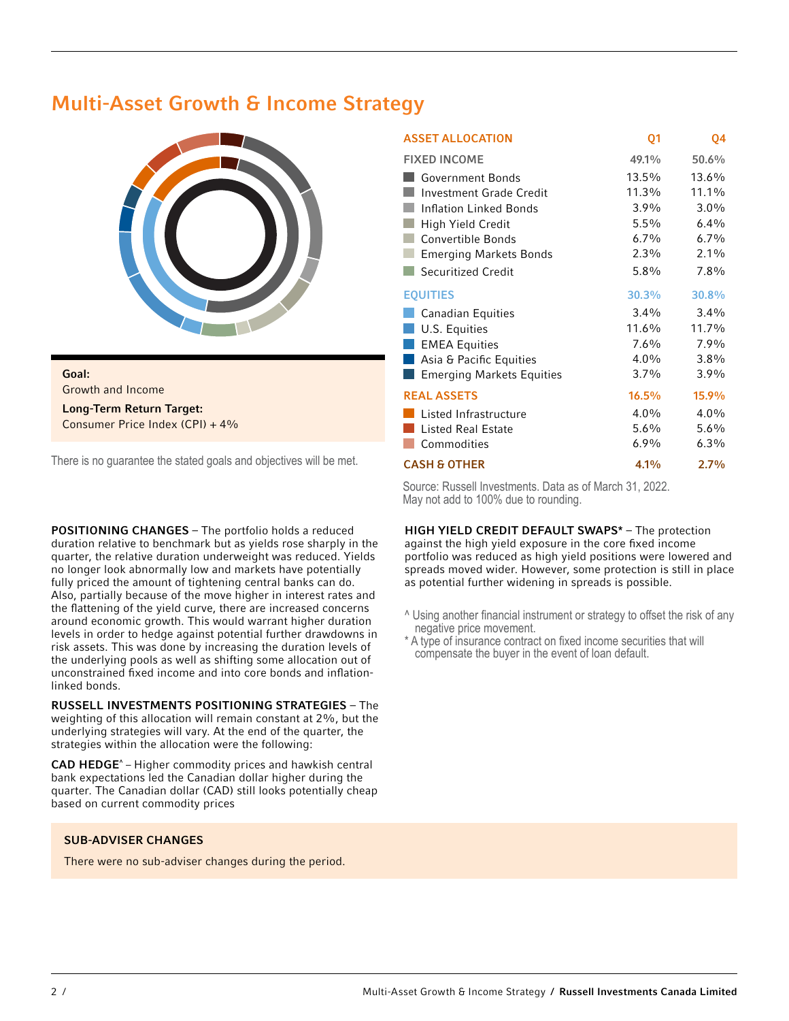### Multi-Asset Growth & Income Multi-Asset Growth & Income Strategy



#### Goal:

Growth and Income

Long-Term Return Target: Consumer Price Index (CPI) + 4%

There is no guarantee the stated goals and objectives will be met.

POSITIONING CHANGES – The portfolio holds a reduced duration relative to benchmark but as yields rose sharply in the quarter, the relative duration underweight was reduced. Yields no longer look abnormally low and markets have potentially fully priced the amount of tightening central banks can do. Also, partially because of the move higher in interest rates and the flattening of the yield curve, there are increased concerns around economic growth. This would warrant higher duration levels in order to hedge against potential further drawdowns in risk assets. This was done by increasing the duration levels of the underlying pools as well as shifting some allocation out of unconstrained fixed income and into core bonds and inflationlinked bonds.

RUSSELL INVESTMENTS POSITIONING STRATEGIES – The weighting of this allocation will remain constant at 2%, but the underlying strategies will vary. At the end of the quarter, the strategies within the allocation were the following:

CAD HEDGE^ – Higher commodity prices and hawkish central bank expectations led the Canadian dollar higher during the quarter. The Canadian dollar (CAD) still looks potentially cheap based on current commodity prices

#### SUB-ADVISER CHANGES

There were no sub-adviser changes during the period.

| Q1                                                              | Q4                                                           |
|-----------------------------------------------------------------|--------------------------------------------------------------|
| 49.1%                                                           | 50.6%                                                        |
| 13.5%<br>11.3%<br>$3.9\%$<br>5.5%<br>$6.7\%$<br>$2.3\%$<br>5.8% | 13.6%<br>11.1%<br>$3.0\%$<br>6.4%<br>6.7%<br>2.1%<br>$7.8\%$ |
| 30.3%                                                           | 30.8%                                                        |
| $3.4\%$<br>11.6%<br>$7.6\%$<br>$4.0\%$<br>$3.7\%$               | 3.4%<br>11.7%<br>7.9%<br>$3.8\%$<br>3.9%                     |
| 16.5%                                                           | 15.9%                                                        |
| $4.0\%$<br>$5.6\%$<br>$6.9\%$                                   | $4.0\%$<br>$5.6\%$<br>$6.3\%$                                |
|                                                                 | 2.7%                                                         |
|                                                                 | 4.1%                                                         |

Source: Russell Investments. Data as of March 31, 2022. May not add to 100% due to rounding.

HIGH YIELD CREDIT DEFAULT SWAPS\* – The protection against the high yield exposure in the core fixed income portfolio was reduced as high yield positions were lowered and spreads moved wider. However, some protection is still in place as potential further widening in spreads is possible.

^ Using another financial instrument or strategy to offset the risk of any negative price movement.

\* A type of insurance contract on fixed income securities that will compensate the buyer in the event of loan default.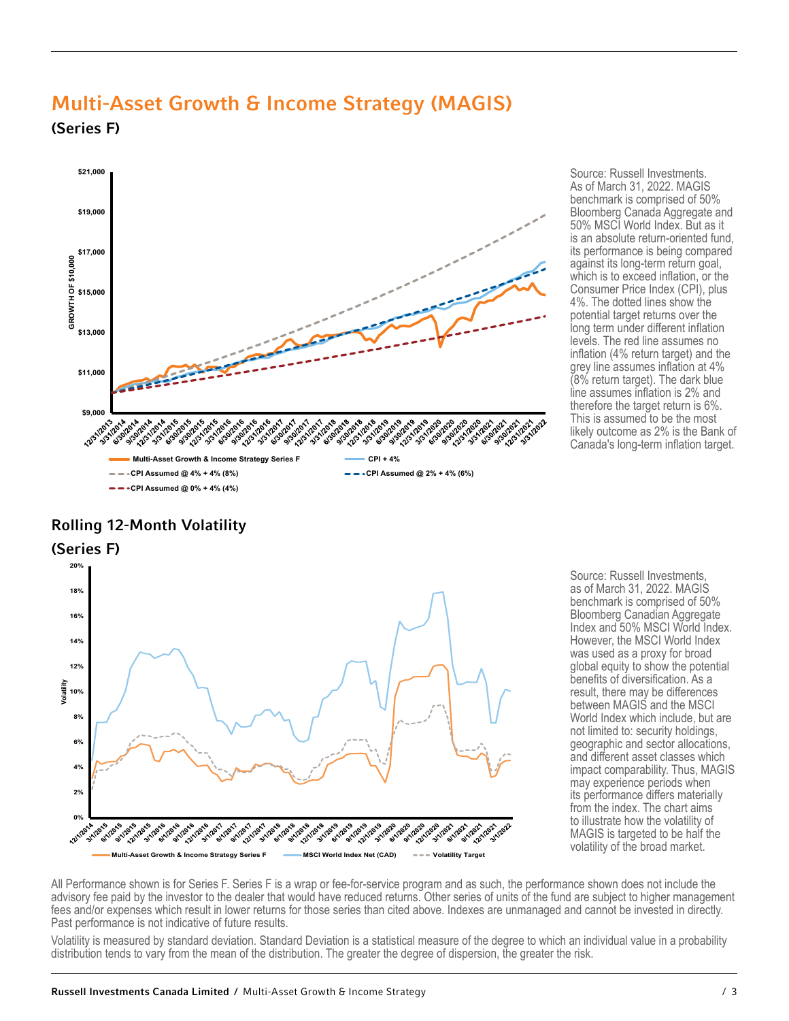## Multi-Asset Growth & Income Strategy (MAGIS)

(Series F)



Source: Russell Investments. As of March 31, 2022. MAGIS benchmark is comprised of 50% Bloomberg Canada Aggregate and 50% MSCI World Index. But as it is an absolute return-oriented fund, its performance is being compared against its long-term return goal, which is to exceed inflation, or the Consumer Price Index (CPI), plus 4%. The dotted lines show the potential target returns over the long term under different inflation levels. The red line assumes no inflation (4% return target) and the grey line assumes inflation at 4% (8% return target). The dark blue line assumes inflation is 2% and therefore the target return is 6%. This is assumed to be the most likely outcome as 2% is the Bank of Canada's long-term inflation target.

#### Rolling 12-Month Volatility (Series F)



Source: Russell Investments, as of March 31, 2022. MAGIS benchmark is comprised of 50% Bloomberg Canadian Aggregate Index and 50% MSCI World Index. However, the MSCI World Index was used as a proxy for broad global equity to show the potential benefits of diversification. As a result, there may be differences between MAGIS and the MSCI World Index which include, but are not limited to: security holdings, geographic and sector allocations, and different asset classes which impact comparability. Thus, MAGIS may experience periods when its performance differs materially from the index. The chart aims to illustrate how the volatility of MAGIS is targeted to be half the volatility of the broad market.

All Performance shown is for Series F. Series F is a wrap or fee-for-service program and as such, the performance shown does not include the advisory fee paid by the investor to the dealer that would have reduced returns. Other series of units of the fund are subject to higher management fees and/or expenses which result in lower returns for those series than cited above. Indexes are unmanaged and cannot be invested in directly. Past performance is not indicative of future results.

Volatility is measured by standard deviation. Standard Deviation is a statistical measure of the degree to which an individual value in a probability distribution tends to vary from the mean of the distribution. The greater the degree of dispersion, the greater the risk.